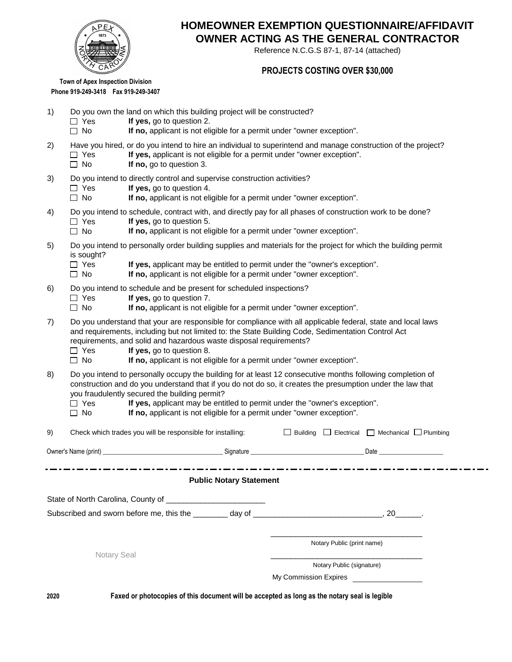

## **OWNER ACTING AS THE GENERAL CONTRACTOR HOMEOWNER EXEMPTION QUESTIONNAIRE/AFFIDAVIT**

Reference N.C.G.S 87-1, 87-14 (attached)

## **PROJECTS COSTING OVER \$30,000**

**Town of Apex Inspection Division Phone 919-249-3418 Fax 919-249-3407**

- 1) Do you own the land on which this building project will be constructed?
	- □ Yes **If yes**, go to question 2.
	- □ No **If no**, applicant is not eligible for a permit under "owner exception".
- 2) Have you hired, or do you intend to hire an individual to superintend and manage construction of the project? □ Yes **If yes,** applicant is not eligible for a permit under "owner exception".
	- □ No **If no**, go to question 3.
- 3) Do you intend to directly control and supervise construction activities?
	- □ Yes **If yes**, go to question 4.
		- □ No **If no**, applicant is not eligible for a permit under "owner exception".
- 4) Do you intend to schedule, contract with, and directly pay for all phases of construction work to be done?
	- □ Yes **If yes**, go to question 5.
	- □ No **If no,** applicant is not eligible for a permit under "owner exception".
- 5) Do you intend to personally order building supplies and materials for the project for which the building permit is sought?
	- Yes **If yes,** applicant may be entitled to permit under the "owner's exception".
	- □ No **If no, applicant is not eligible for a permit under "owner exception".**
- 6) Do you intend to schedule and be present for scheduled inspections?
	- □ Yes **If yes**, go to question 7.
		- □ No **If no**, applicant is not eligible for a permit under "owner exception".
- 7) Do you understand that your are responsible for compliance with all applicable federal, state and local laws and requirements, including but not limited to: the State Building Code, Sedimentation Control Act requirements, and solid and hazardous waste disposal requirements?
	- $\Box$  Yes **If yes,** go to question 8.
	- □ No **If no**, applicant is not eligible for a permit under "owner exception".
- 8) Do you intend to personally occupy the building for at least 12 consecutive months following completion of construction and do you understand that if you do not do so, it creates the presumption under the law that you fraudulently secured the building permit?
	- □ Yes **If yes,** applicant may be entitled to permit under the "owner's exception".
	- □ No **If no,** applicant is not eligible for a permit under "owner exception".

| 9) | Check which trades you will be responsible for installing: $\square$ Building $\square$ Electrical $\square$ Mechanical $\square$ Plumbing |                                |                                         |                              |  |
|----|--------------------------------------------------------------------------------------------------------------------------------------------|--------------------------------|-----------------------------------------|------------------------------|--|
|    |                                                                                                                                            |                                |                                         | _Date ______________________ |  |
|    |                                                                                                                                            | <b>Public Notary Statement</b> |                                         |                              |  |
|    |                                                                                                                                            |                                |                                         |                              |  |
|    |                                                                                                                                            |                                |                                         |                              |  |
|    | <b>Notary Seal</b>                                                                                                                         |                                | Notary Public (print name)              |                              |  |
|    |                                                                                                                                            |                                | Notary Public (signature)               |                              |  |
|    |                                                                                                                                            |                                | My Commission Expires <b>Commission</b> |                              |  |

**2020**

**Faxed or photocopies of this document will be accepted as long as the notary seal is legible**